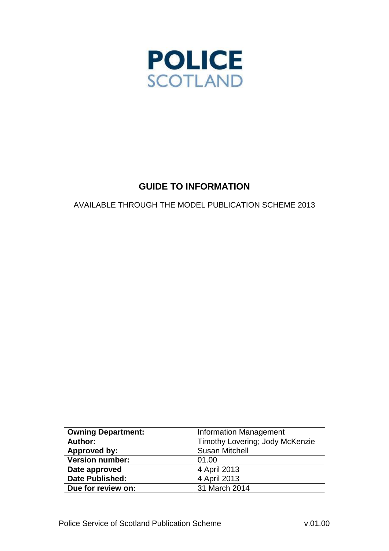

# **GUIDE TO INFORMATION**

AVAILABLE THROUGH THE MODEL PUBLICATION SCHEME 2013

| <b>Owning Department:</b> | <b>Information Management</b>   |
|---------------------------|---------------------------------|
| Author:                   | Timothy Lovering; Jody McKenzie |
| Approved by:              | <b>Susan Mitchell</b>           |
| <b>Version number:</b>    | 01.00                           |
| Date approved             | 4 April 2013                    |
| <b>Date Published:</b>    | 4 April 2013                    |
| Due for review on:        | 31 March 2014                   |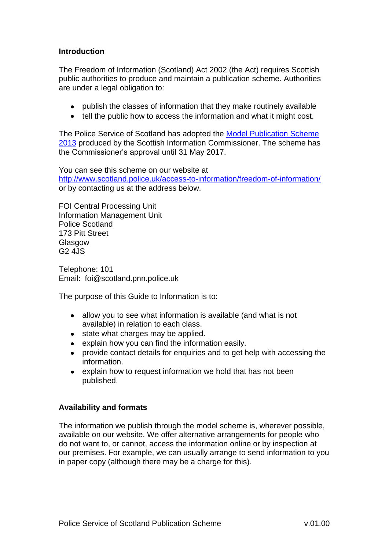#### **Introduction**

The Freedom of Information (Scotland) Act 2002 (the Act) requires Scottish public authorities to produce and maintain a publication scheme. Authorities are under a legal obligation to:

- publish the classes of information that they make routinely available
- tell the public how to access the information and what it might cost.

The Police Service of Scotland has adopted the [Model Publication Scheme](http://www.itspublicknowledge.info/nmsruntime/logLink.asp?linkURL=http%3A%2F%2Fwww%2Eitspublicknowledge%2Einfo%2Fuploadedfiles%2FMPS2013%2Edoc)  [2013](http://www.itspublicknowledge.info/nmsruntime/logLink.asp?linkURL=http%3A%2F%2Fwww%2Eitspublicknowledge%2Einfo%2Fuploadedfiles%2FMPS2013%2Edoc) produced by the Scottish Information Commissioner. The scheme has the Commissioner's approval until 31 May 2017.

You can see this scheme on our website at <http://www.scotland.police.uk/access-to-information/freedom-of-information/> or by contacting us at the address below.

FOI Central Processing Unit Information Management Unit Police Scotland 173 Pitt Street Glasgow G2 4JS

Telephone: 101 Email: foi@scotland.pnn.police.uk

The purpose of this Guide to Information is to:

- allow you to see what information is available (and what is not available) in relation to each class.
- state what charges may be applied.
- explain how you can find the information easily.
- provide contact details for enquiries and to get help with accessing the  $\bullet$ information.
- explain how to request information we hold that has not been  $\bullet$ published.

#### **Availability and formats**

The information we publish through the model scheme is, wherever possible, available on our website. We offer alternative arrangements for people who do not want to, or cannot, access the information online or by inspection at our premises. For example, we can usually arrange to send information to you in paper copy (although there may be a charge for this).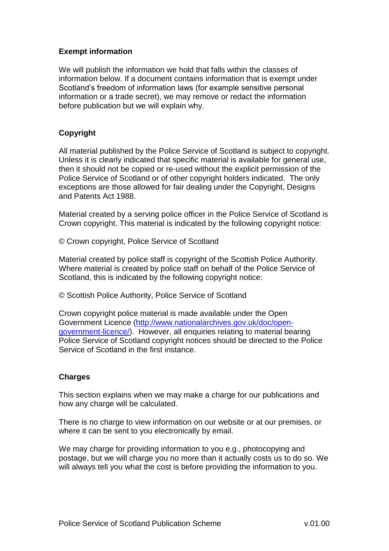### **Exempt information**

We will publish the information we hold that falls within the classes of information below. If a document contains information that is exempt under Scotland's freedom of information laws (for example sensitive personal information or a trade secret), we may remove or redact the information before publication but we will explain why.

### **Copyright**

All material published by the Police Service of Scotland is subject to copyright. Unless it is clearly indicated that specific material is available for general use, then it should not be copied or re-used without the explicit permission of the Police Service of Scotland or of other copyright holders indicated. The only exceptions are those allowed for fair dealing under the Copyright, Designs and Patents Act 1988.

Material created by a serving police officer in the Police Service of Scotland is Crown copyright. This material is indicated by the following copyright notice:

© Crown copyright, Police Service of Scotland

Material created by police staff is copyright of the Scottish Police Authority. Where material is created by police staff on behalf of the Police Service of Scotland, this is indicated by the following copyright notice:

© Scottish Police Authority, Police Service of Scotland

Crown copyright police material is made available under the Open Government Licence [\(http://www.nationalarchives.gov.uk/doc/open](http://www.nationalarchives.gov.uk/doc/open-government-licence/)[government-licence/\)](http://www.nationalarchives.gov.uk/doc/open-government-licence/). However, all enquiries relating to material bearing Police Service of Scotland copyright notices should be directed to the Police Service of Scotland in the first instance.

#### **Charges**

This section explains when we may make a charge for our publications and how any charge will be calculated.

There is no charge to view information on our website or at our premises, or where it can be sent to you electronically by email.

We may charge for providing information to you e.g., photocopying and postage, but we will charge you no more than it actually costs us to do so. We will always tell you what the cost is before providing the information to you.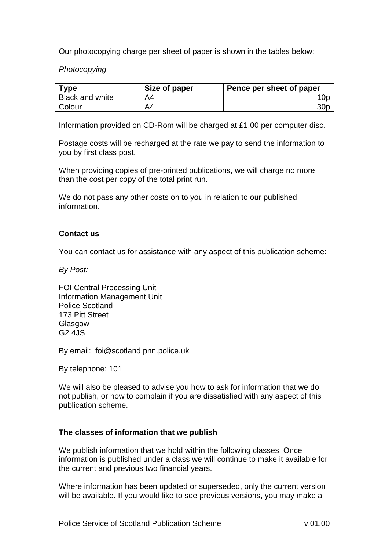Our photocopying charge per sheet of paper is shown in the tables below:

*Photocopying*

| <b>Type</b>            | Size of paper | Pence per sheet of paper |
|------------------------|---------------|--------------------------|
| <b>Black and white</b> | A4            | 0p                       |
| <b>Colour</b>          | A4            | 30 <sub>p</sub>          |

Information provided on CD-Rom will be charged at £1.00 per computer disc.

Postage costs will be recharged at the rate we pay to send the information to you by first class post.

When providing copies of pre-printed publications, we will charge no more than the cost per copy of the total print run.

We do not pass any other costs on to you in relation to our published information.

#### **Contact us**

You can contact us for assistance with any aspect of this publication scheme:

*By Post:*

FOI Central Processing Unit Information Management Unit Police Scotland 173 Pitt Street Glasgow G2 4JS

By email: foi@scotland.pnn.police.uk

By telephone: 101

We will also be pleased to advise you how to ask for information that we do not publish, or how to complain if you are dissatisfied with any aspect of this publication scheme.

#### **The classes of information that we publish**

We publish information that we hold within the following classes. Once information is published under a class we will continue to make it available for the current and previous two financial years.

Where information has been updated or superseded, only the current version will be available. If you would like to see previous versions, you may make a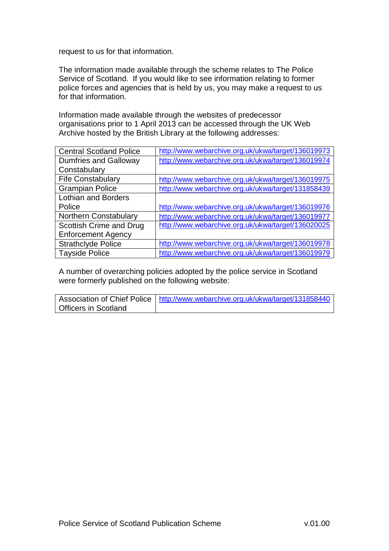request to us for that information.

The information made available through the scheme relates to The Police Service of Scotland. If you would like to see information relating to former police forces and agencies that is held by us, you may make a request to us for that information.

Information made available through the websites of predecessor organisations prior to 1 April 2013 can be accessed through the UK Web Archive hosted by the British Library at the following addresses:

| <b>Central Scotland Police</b> | http://www.webarchive.org.uk/ukwa/target/136019973 |
|--------------------------------|----------------------------------------------------|
| <b>Dumfries and Galloway</b>   | http://www.webarchive.org.uk/ukwa/target/136019974 |
| Constabulary                   |                                                    |
| <b>Fife Constabulary</b>       | http://www.webarchive.org.uk/ukwa/target/136019975 |
| <b>Grampian Police</b>         | http://www.webarchive.org.uk/ukwa/target/131858439 |
| <b>Lothian and Borders</b>     |                                                    |
| Police                         | http://www.webarchive.org.uk/ukwa/target/136019976 |
| <b>Northern Constabulary</b>   | http://www.webarchive.org.uk/ukwa/target/136019977 |
| Scottish Crime and Drug        | http://www.webarchive.org.uk/ukwa/target/136020025 |
| <b>Enforcement Agency</b>      |                                                    |
| <b>Strathclyde Police</b>      | http://www.webarchive.org.uk/ukwa/target/136019978 |
| <b>Tayside Police</b>          | http://www.webarchive.org.uk/ukwa/target/136019979 |

A number of overarching policies adopted by the police service in Scotland were formerly published on the following website:

|                             | Association of Chief Police   http://www.webarchive.org.uk/ukwa/target/131858440 |
|-----------------------------|----------------------------------------------------------------------------------|
| <b>Officers in Scotland</b> |                                                                                  |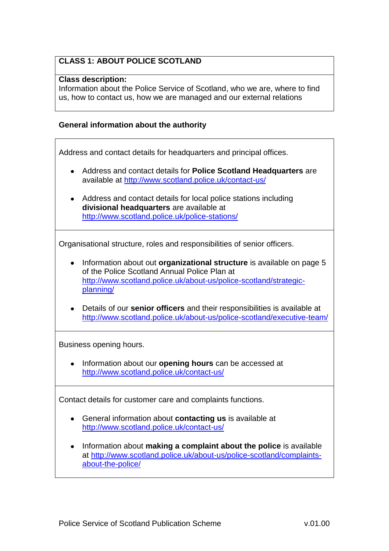## **CLASS 1: ABOUT POLICE SCOTLAND**

#### **Class description:**

Information about the Police Service of Scotland, who we are, where to find us, how to contact us, how we are managed and our external relations

#### **General information about the authority**

Address and contact details for headquarters and principal offices.

- Address and contact details for **Police Scotland Headquarters** are available at<http://www.scotland.police.uk/contact-us/>
- Address and contact details for local police stations including **divisional headquarters** are available at <http://www.scotland.police.uk/police-stations/>

Organisational structure, roles and responsibilities of senior officers.

- Information about out **organizational structure** is available on page 5 of the Police Scotland Annual Police Plan at [http://www.scotland.police.uk/about-us/police-scotland/strategic](http://www.scotland.police.uk/about-us/police-scotland/strategic-planning/)[planning/](http://www.scotland.police.uk/about-us/police-scotland/strategic-planning/)
- Details of our **senior officers** and their responsibilities is available at <http://www.scotland.police.uk/about-us/police-scotland/executive-team/>

Business opening hours.

• Information about our **opening hours** can be accessed at <http://www.scotland.police.uk/contact-us/>

Contact details for customer care and complaints functions.

- General information about **contacting us** is available at <http://www.scotland.police.uk/contact-us/>
- Information about **making a complaint about the police** is available at [http://www.scotland.police.uk/about-us/police-scotland/complaints](http://www.scotland.police.uk/about-us/police-scotland/complaints-about-the-police/)[about-the-police/](http://www.scotland.police.uk/about-us/police-scotland/complaints-about-the-police/)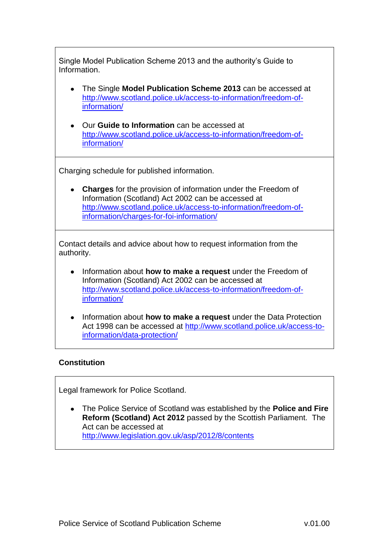Single Model Publication Scheme 2013 and the authority's Guide to Information.

- The Single **Model Publication Scheme 2013** can be accessed at [http://www.scotland.police.uk/access-to-information/freedom-of](http://www.scotland.police.uk/access-to-information/freedom-of-information/)[information/](http://www.scotland.police.uk/access-to-information/freedom-of-information/)
- Our **Guide to Information** can be accessed at [http://www.scotland.police.uk/access-to-information/freedom-of](http://www.scotland.police.uk/access-to-information/freedom-of-information/)[information/](http://www.scotland.police.uk/access-to-information/freedom-of-information/)

Charging schedule for published information.

**Charges** for the provision of information under the Freedom of Information (Scotland) Act 2002 can be accessed at [http://www.scotland.police.uk/access-to-information/freedom-of](http://www.scotland.police.uk/access-to-information/freedom-of-information/charges-for-foi-information/)[information/charges-for-foi-information/](http://www.scotland.police.uk/access-to-information/freedom-of-information/charges-for-foi-information/)

Contact details and advice about how to request information from the authority.

- Information about **how to make a request** under the Freedom of Information (Scotland) Act 2002 can be accessed at [http://www.scotland.police.uk/access-to-information/freedom-of](http://www.scotland.police.uk/access-to-information/freedom-of-information/)[information/](http://www.scotland.police.uk/access-to-information/freedom-of-information/)
- Information about **how to make a request** under the Data Protection Act 1998 can be accessed at [http://www.scotland.police.uk/access-to](http://www.scotland.police.uk/access-to-information/data-protection/)[information/data-protection/](http://www.scotland.police.uk/access-to-information/data-protection/)

### **Constitution**

Legal framework for Police Scotland.

The Police Service of Scotland was established by the **Police and Fire Reform (Scotland) Act 2012** passed by the Scottish Parliament. The Act can be accessed at <http://www.legislation.gov.uk/asp/2012/8/contents>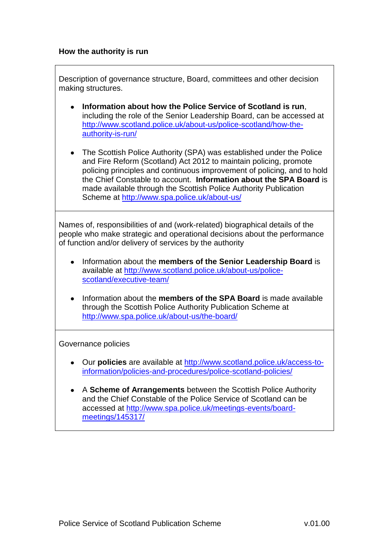#### **How the authority is run**

Description of governance structure, Board, committees and other decision making structures.

- **Information about how the Police Service of Scotland is run**, including the role of the Senior Leadership Board, can be accessed at [http://www.scotland.police.uk/about-us/police-scotland/how-the](http://www.scotland.police.uk/about-us/police-scotland/how-the-authority-is-run/)[authority-is-run/](http://www.scotland.police.uk/about-us/police-scotland/how-the-authority-is-run/)
- The Scottish Police Authority (SPA) was established under the Police and Fire Reform (Scotland) Act 2012 to maintain policing, promote policing principles and continuous improvement of policing, and to hold the Chief Constable to account. **Information about the SPA Board** is made available through the Scottish Police Authority Publication Scheme at<http://www.spa.police.uk/about-us/>

Names of, responsibilities of and (work-related) biographical details of the people who make strategic and operational decisions about the performance of function and/or delivery of services by the authority

- Information about the **members of the Senior Leadership Board** is available at [http://www.scotland.police.uk/about-us/police](http://www.scotland.police.uk/about-us/police-scotland/executive-team/)[scotland/executive-team/](http://www.scotland.police.uk/about-us/police-scotland/executive-team/)
- Information about the **members of the SPA Board** is made available through the Scottish Police Authority Publication Scheme at <http://www.spa.police.uk/about-us/the-board/>

Governance policies

- Our **policies** are available at [http://www.scotland.police.uk/access-to](http://www.scotland.police.uk/access-to-information/policies-and-procedures/police-scotland-policies/)[information/policies-and-procedures/police-scotland-policies/](http://www.scotland.police.uk/access-to-information/policies-and-procedures/police-scotland-policies/)
- A **Scheme of Arrangements** between the Scottish Police Authority and the Chief Constable of the Police Service of Scotland can be accessed at [http://www.spa.police.uk/meetings-events/board](http://www.spa.police.uk/meetings-events/board-meetings/145317/)[meetings/145317/](http://www.spa.police.uk/meetings-events/board-meetings/145317/)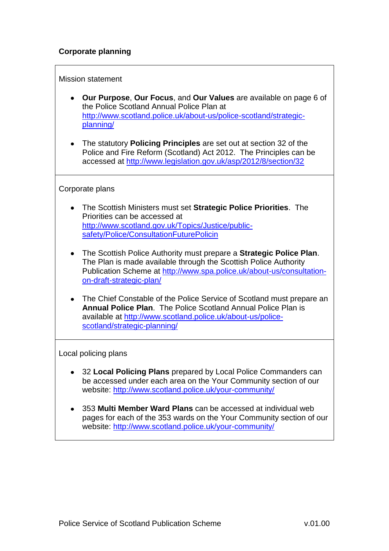### **Corporate planning**

#### Mission statement

- **Our Purpose**, **Our Focus**, and **Our Values** are available on page 6 of the Police Scotland Annual Police Plan at [http://www.scotland.police.uk/about-us/police-scotland/strategic](http://www.scotland.police.uk/about-us/police-scotland/strategic-planning/)[planning/](http://www.scotland.police.uk/about-us/police-scotland/strategic-planning/)
- The statutory **Policing Principles** are set out at section 32 of the Police and Fire Reform (Scotland) Act 2012. The Principles can be accessed at<http://www.legislation.gov.uk/asp/2012/8/section/32>

#### Corporate plans

- The Scottish Ministers must set **Strategic Police Priorities**. The Priorities can be accessed at [http://www.scotland.gov.uk/Topics/Justice/public](http://www.scotland.gov.uk/Topics/Justice/public-safety/Police/ConsultationFuturePolicin)[safety/Police/ConsultationFuturePolicin](http://www.scotland.gov.uk/Topics/Justice/public-safety/Police/ConsultationFuturePolicin)
- The Scottish Police Authority must prepare a **Strategic Police Plan**. The Plan is made available through the Scottish Police Authority Publication Scheme at [http://www.spa.police.uk/about-us/consultation](http://www.spa.police.uk/about-us/consultation-on-draft-strategic-plan/)[on-draft-strategic-plan/](http://www.spa.police.uk/about-us/consultation-on-draft-strategic-plan/)
- The Chief Constable of the Police Service of Scotland must prepare an **Annual Police Plan**. The Police Scotland Annual Police Plan is available at [http://www.scotland.police.uk/about-us/police](http://www.scotland.police.uk/about-us/police-scotland/strategic-planning/)[scotland/strategic-planning/](http://www.scotland.police.uk/about-us/police-scotland/strategic-planning/)

Local policing plans

- 32 **Local Policing Plans** prepared by Local Police Commanders can be accessed under each area on the Your Community section of our website:<http://www.scotland.police.uk/your-community/>
- 353 **Multi Member Ward Plans** can be accessed at individual web pages for each of the 353 wards on the Your Community section of our website:<http://www.scotland.police.uk/your-community/>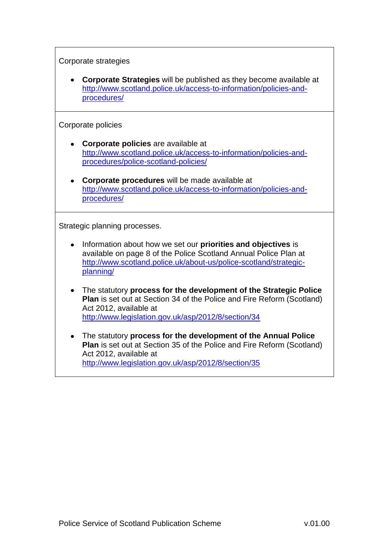Corporate strategies

**Corporate Strategies** will be published as they become available at [http://www.scotland.police.uk/access-to-information/policies-and](http://www.scotland.police.uk/access-to-information/policies-and-procedures/)[procedures/](http://www.scotland.police.uk/access-to-information/policies-and-procedures/)

Corporate policies

- **Corporate policies** are available at [http://www.scotland.police.uk/access-to-information/policies-and](http://www.scotland.police.uk/access-to-information/policies-and-procedures/police-scotland-policies/)[procedures/police-scotland-policies/](http://www.scotland.police.uk/access-to-information/policies-and-procedures/police-scotland-policies/)
- **Corporate procedures** will be made available at [http://www.scotland.police.uk/access-to-information/policies-and](http://www.scotland.police.uk/access-to-information/policies-and-procedures/)[procedures/](http://www.scotland.police.uk/access-to-information/policies-and-procedures/)

Strategic planning processes.

- $\bullet$ Information about how we set our **priorities and objectives** is available on page 8 of the Police Scotland Annual Police Plan at [http://www.scotland.police.uk/about-us/police-scotland/strategic](http://www.scotland.police.uk/about-us/police-scotland/strategic-planning/)[planning/](http://www.scotland.police.uk/about-us/police-scotland/strategic-planning/)
- The statutory **process for the development of the Strategic Police Plan** is set out at Section 34 of the Police and Fire Reform (Scotland) Act 2012, available at <http://www.legislation.gov.uk/asp/2012/8/section/34>
- The statutory **process for the development of the Annual Police Plan** is set out at Section 35 of the Police and Fire Reform (Scotland) Act 2012, available at <http://www.legislation.gov.uk/asp/2012/8/section/35>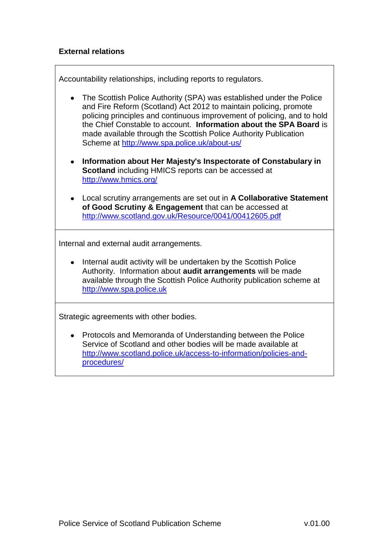### **External relations**

Accountability relationships, including reports to regulators.

- The Scottish Police Authority (SPA) was established under the Police and Fire Reform (Scotland) Act 2012 to maintain policing, promote policing principles and continuous improvement of policing, and to hold the Chief Constable to account. **Information about the SPA Board** is made available through the Scottish Police Authority Publication Scheme at<http://www.spa.police.uk/about-us/>
- **Information about Her Majesty's Inspectorate of Constabulary in Scotland** including HMICS reports can be accessed at <http://www.hmics.org/>
- $\bullet$ Local scrutiny arrangements are set out in **A Collaborative Statement of Good Scrutiny & Engagement** that can be accessed at <http://www.scotland.gov.uk/Resource/0041/00412605.pdf>

Internal and external audit arrangements.

Internal audit activity will be undertaken by the Scottish Police Authority. Information about **audit arrangements** will be made available through the Scottish Police Authority publication scheme at [http://www.spa.police.uk](http://www.spa.police.uk/)

Strategic agreements with other bodies.

Protocols and Memoranda of Understanding between the Police Service of Scotland and other bodies will be made available at [http://www.scotland.police.uk/access-to-information/policies-and](http://www.scotland.police.uk/access-to-information/policies-and-procedures/)[procedures/](http://www.scotland.police.uk/access-to-information/policies-and-procedures/)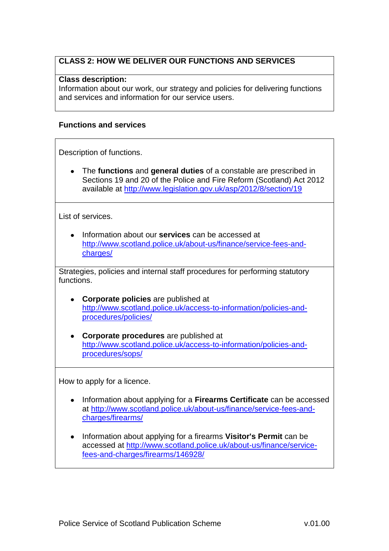### **CLASS 2: HOW WE DELIVER OUR FUNCTIONS AND SERVICES**

#### **Class description:**

Information about our work, our strategy and policies for delivering functions and services and information for our service users.

#### **Functions and services**

Description of functions.

The **functions** and **general duties** of a constable are prescribed in Sections 19 and 20 of the Police and Fire Reform (Scotland) Act 2012 available at<http://www.legislation.gov.uk/asp/2012/8/section/19>

List of services.

Information about our **services** can be accessed at [http://www.scotland.police.uk/about-us/finance/service-fees-and](http://www.scotland.police.uk/about-us/finance/service-fees-and-charges/)[charges/](http://www.scotland.police.uk/about-us/finance/service-fees-and-charges/)

Strategies, policies and internal staff procedures for performing statutory functions.

- **Corporate policies** are published at [http://www.scotland.police.uk/access-to-information/policies-and](http://www.scotland.police.uk/access-to-information/policies-and-procedures/policies/)[procedures/policies/](http://www.scotland.police.uk/access-to-information/policies-and-procedures/policies/)
- **Corporate procedures** are published at [http://www.scotland.police.uk/access-to-information/policies-and](http://www.scotland.police.uk/access-to-information/policies-and-procedures/sops/)[procedures/sops/](http://www.scotland.police.uk/access-to-information/policies-and-procedures/sops/)

How to apply for a licence.

- Information about applying for a **Firearms Certificate** can be accessed at [http://www.scotland.police.uk/about-us/finance/service-fees-and](http://www.scotland.police.uk/about-us/finance/service-fees-and-charges/firearms/)[charges/firearms/](http://www.scotland.police.uk/about-us/finance/service-fees-and-charges/firearms/)
- Information about applying for a firearms **Visitor's Permit** can be accessed at [http://www.scotland.police.uk/about-us/finance/service](http://www.scotland.police.uk/about-us/finance/service-fees-and-charges/firearms/146928/)[fees-and-charges/firearms/146928/](http://www.scotland.police.uk/about-us/finance/service-fees-and-charges/firearms/146928/)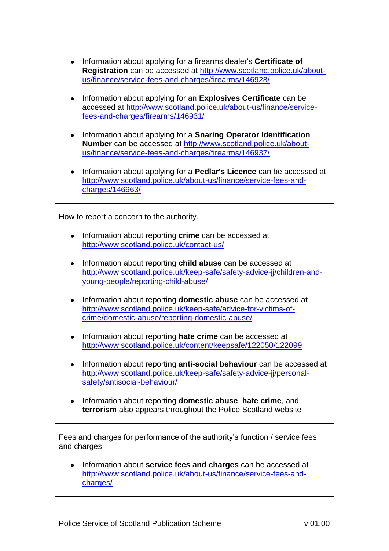| Information about applying for a firearms dealer's Certificate of<br>Registration can be accessed at http://www.scotland.police.uk/about-<br>us/finance/service-fees-and-charges/firearms/146928/ |
|---------------------------------------------------------------------------------------------------------------------------------------------------------------------------------------------------|
| Information about applying for an Explosives Certificate can be<br>٠<br>accessed at http://www.scotland.police.uk/about-us/finance/service-<br>fees-and-charges/firearms/146931/                  |
| Information about applying for a Snaring Operator Identification<br>٠<br>Number can be accessed at http://www.scotland.police.uk/about-<br>us/finance/service-fees-and-charges/firearms/146937/   |
| Information about applying for a <b>Pedlar's Licence</b> can be accessed at<br>http://www.scotland.police.uk/about-us/finance/service-fees-and-<br>charges/146963/                                |
| How to report a concern to the authority.                                                                                                                                                         |
| Information about reporting crime can be accessed at<br>http://www.scotland.police.uk/contact-us/                                                                                                 |
| Information about reporting child abuse can be accessed at<br>٠<br>http://www.scotland.police.uk/keep-safe/safety-advice-jj/children-and-<br>young-people/reporting-child-abuse/                  |
| Information about reporting <b>domestic abuse</b> can be accessed at<br>http://www.scotland.police.uk/keep-safe/advice-for-victims-of-<br>crime/domestic-abuse/reporting-domestic-abuse/          |
| Information about reporting hate crime can be accessed at<br>http://www.scotland.police.uk/content/keepsafe/122050/122099                                                                         |
| Information about reporting anti-social behaviour can be accessed at<br>http://www.scotland.police.uk/keep-safe/safety-advice-jj/personal-<br>safety/antisocial-behaviour/                        |
| Information about reporting <b>domestic abuse</b> , hate crime, and<br>٠<br>terrorism also appears throughout the Police Scotland website                                                         |
| Fees and charges for performance of the authority's function / service fees<br>and charges                                                                                                        |
| Information about service fees and charges can be accessed at<br>٠<br>http://www.scotland.police.uk/about-us/finance/service-fees-and-<br>charges/                                                |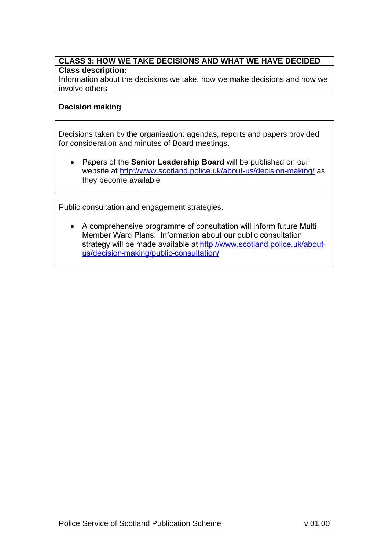#### **CLASS 3: HOW WE TAKE DECISIONS AND WHAT WE HAVE DECIDED Class description:**

Information about the decisions we take, how we make decisions and how we involve others

### **Decision making**

Decisions taken by the organisation: agendas, reports and papers provided for consideration and minutes of Board meetings.

Papers of the **Senior Leadership Board** will be published on our website at<http://www.scotland.police.uk/about-us/decision-making/> as they become available

Public consultation and engagement strategies.

• A comprehensive programme of consultation will inform future Multi Member Ward Plans. Information about our public consultation strategy will be made available at http://www.scotland.police.uk/aboutus/decision-making/public-consultation/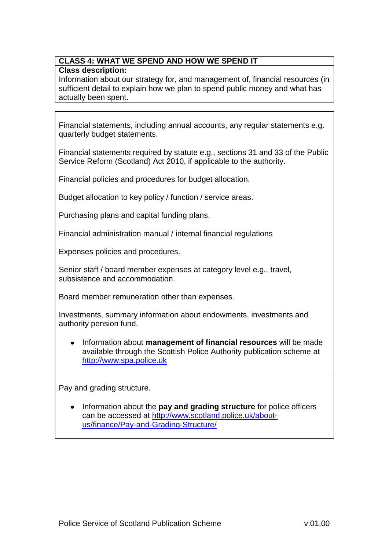### **CLASS 4: WHAT WE SPEND AND HOW WE SPEND IT Class description:**

Information about our strategy for, and management of, financial resources (in sufficient detail to explain how we plan to spend public money and what has actually been spent.

Financial statements, including annual accounts, any regular statements e.g. quarterly budget statements.

Financial statements required by statute e.g., sections 31 and 33 of the Public Service Reform (Scotland) Act 2010, if applicable to the authority.

Financial policies and procedures for budget allocation.

Budget allocation to key policy / function / service areas.

Purchasing plans and capital funding plans.

Financial administration manual / internal financial regulations

Expenses policies and procedures.

Senior staff / board member expenses at category level e.g., travel, subsistence and accommodation.

Board member remuneration other than expenses.

Investments, summary information about endowments, investments and authority pension fund.

Information about **management of financial resources** will be made available through the Scottish Police Authority publication scheme at [http://www.spa.police.uk](http://www.spa.police.uk/)

Pay and grading structure.

Information about the **pay and grading structure** for police officers can be accessed at [http://www.scotland.police.uk/about](http://www.scotland.police.uk/about-us/finance/Pay-and-Grading-Structure/)[us/finance/Pay-and-Grading-Structure/](http://www.scotland.police.uk/about-us/finance/Pay-and-Grading-Structure/)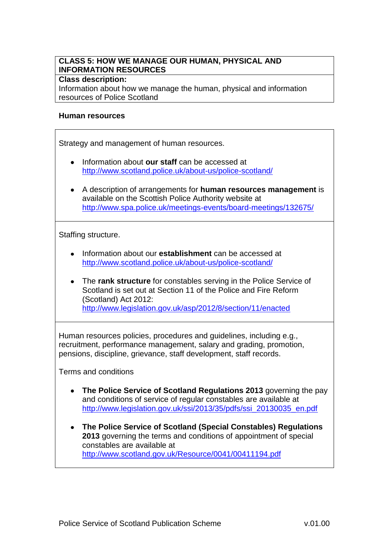### **CLASS 5: HOW WE MANAGE OUR HUMAN, PHYSICAL AND INFORMATION RESOURCES**

#### **Class description:**

Information about how we manage the human, physical and information resources of Police Scotland

#### **Human resources**

Strategy and management of human resources.

- Information about **our staff** can be accessed at <http://www.scotland.police.uk/about-us/police-scotland/>
- A description of arrangements for **human resources management** is available on the Scottish Police Authority website at <http://www.spa.police.uk/meetings-events/board-meetings/132675/>

Staffing structure.

- Information about our **establishment** can be accessed at <http://www.scotland.police.uk/about-us/police-scotland/>
- The **rank structure** for constables serving in the Police Service of Scotland is set out at Section 11 of the Police and Fire Reform (Scotland) Act 2012: <http://www.legislation.gov.uk/asp/2012/8/section/11/enacted>

Human resources policies, procedures and guidelines, including e.g., recruitment, performance management, salary and grading, promotion, pensions, discipline, grievance, staff development, staff records.

Terms and conditions

- **The Police Service of Scotland Regulations 2013** governing the pay and conditions of service of regular constables are available at [http://www.legislation.gov.uk/ssi/2013/35/pdfs/ssi\\_20130035\\_en.pdf](http://www.legislation.gov.uk/ssi/2013/35/pdfs/ssi_20130035_en.pdf)
- **The Police Service of Scotland (Special Constables) Regulations 2013** governing the terms and conditions of appointment of special constables are available at <http://www.scotland.gov.uk/Resource/0041/00411194.pdf>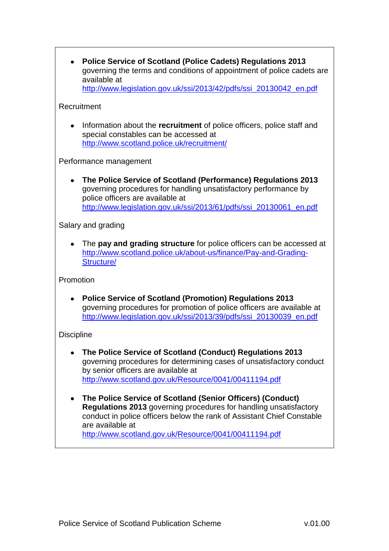**[Police Service of Scotland \(Police Cadets\) Regulations 2013](http://www.legislation.gov.uk/ssi/2013/42/pdfs/ssi_20130042_en.pdf)**  $\bullet$ governing the terms and conditions of appointment of police cadets are available at [http://www.legislation.gov.uk/ssi/2013/42/pdfs/ssi\\_20130042\\_en.pdf](http://www.legislation.gov.uk/ssi/2013/42/pdfs/ssi_20130042_en.pdf)

#### Recruitment

Information about the **recruitment** of police officers, police staff and  $\bullet$ special constables can be accessed at <http://www.scotland.police.uk/recruitment/>

Performance management

**The Police Service of Scotland (Performance) Regulations 2013** governing procedures for handling unsatisfactory performance by police officers are available at [http://www.legislation.gov.uk/ssi/2013/61/pdfs/ssi\\_20130061\\_en.pdf](http://www.legislation.gov.uk/ssi/2013/61/pdfs/ssi_20130061_en.pdf)

Salary and grading

The **pay and grading structure** for police officers can be accessed at [http://www.scotland.police.uk/about-us/finance/Pay-and-Grading-](http://www.scotland.police.uk/about-us/finance/Pay-and-Grading-Structure/)[Structure/](http://www.scotland.police.uk/about-us/finance/Pay-and-Grading-Structure/)

Promotion

**[Police Service of Scotland \(Promotion\) Regulations 2013](http://www.legislation.gov.uk/ssi/2013/39/pdfs/ssi_20130039_en.pdf)** governing procedures for promotion of police officers are available at [http://www.legislation.gov.uk/ssi/2013/39/pdfs/ssi\\_20130039\\_en.pdf](http://www.legislation.gov.uk/ssi/2013/39/pdfs/ssi_20130039_en.pdf)

#### **Discipline**

- **The Police Service of Scotland (Conduct) Regulations 2013** governing procedures for determining cases of unsatisfactory conduct by senior officers are available at <http://www.scotland.gov.uk/Resource/0041/00411194.pdf>
- **The Police Service of Scotland (Senior Officers) (Conduct) Regulations 2013** governing procedures for handling unsatisfactory conduct in police officers below the rank of Assistant Chief Constable are available at <http://www.scotland.gov.uk/Resource/0041/00411194.pdf>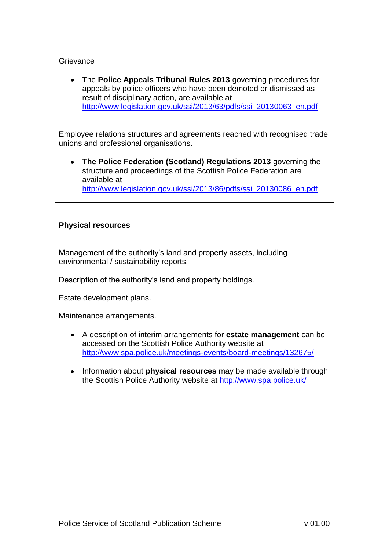### **Grievance**

The **Police Appeals Tribunal Rules 2013** governing procedures for  $\bullet$ appeals by police officers who have been demoted or dismissed as result of disciplinary action, are available at [http://www.legislation.gov.uk/ssi/2013/63/pdfs/ssi\\_20130063\\_en.pdf](http://www.legislation.gov.uk/ssi/2013/63/pdfs/ssi_20130063_en.pdf)

Employee relations structures and agreements reached with recognised trade unions and professional organisations.

**The [Police Federation \(Scotland\) Regulations 2013](http://www.legislation.gov.uk/ssi/2013/86/made)** governing the structure and proceedings of the Scottish Police Federation are available at [http://www.legislation.gov.uk/ssi/2013/86/pdfs/ssi\\_20130086\\_en.pdf](http://www.legislation.gov.uk/ssi/2013/86/pdfs/ssi_20130086_en.pdf)

### **Physical resources**

Management of the authority's land and property assets, including environmental / sustainability reports.

Description of the authority's land and property holdings.

Estate development plans.

Maintenance arrangements.

- A description of interim arrangements for **estate management** can be accessed on the Scottish Police Authority website at <http://www.spa.police.uk/meetings-events/board-meetings/132675/>
- Information about **physical resources** may be made available through  $\bullet$ the Scottish Police Authority website at<http://www.spa.police.uk/>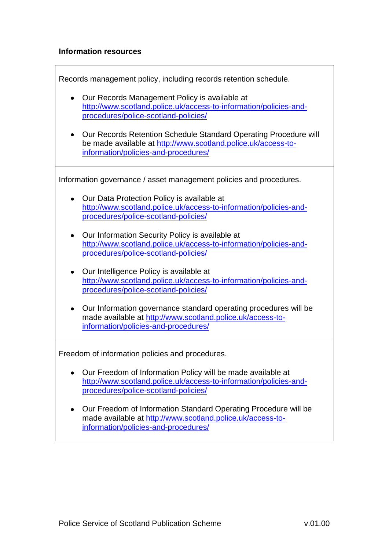### **Information resources**

Records management policy, including records retention schedule.

- Our Records Management Policy is available at [http://www.scotland.police.uk/access-to-information/policies-and](http://www.scotland.police.uk/access-to-information/policies-and-procedures/police-scotland-policies/)[procedures/police-scotland-policies/](http://www.scotland.police.uk/access-to-information/policies-and-procedures/police-scotland-policies/)
- Our Records Retention Schedule Standard Operating Procedure will be made available at [http://www.scotland.police.uk/access-to](http://www.scotland.police.uk/access-to-information/policies-and-procedures/)[information/policies-and-procedures/](http://www.scotland.police.uk/access-to-information/policies-and-procedures/)

Information governance / asset management policies and procedures.

- Our Data Protection Policy is available at [http://www.scotland.police.uk/access-to-information/policies-and](http://www.scotland.police.uk/access-to-information/policies-and-procedures/police-scotland-policies/)[procedures/police-scotland-policies/](http://www.scotland.police.uk/access-to-information/policies-and-procedures/police-scotland-policies/)
- Our Information Security Policy is available at [http://www.scotland.police.uk/access-to-information/policies-and](http://www.scotland.police.uk/access-to-information/policies-and-procedures/police-scotland-policies/)[procedures/police-scotland-policies/](http://www.scotland.police.uk/access-to-information/policies-and-procedures/police-scotland-policies/)
- Our Intelligence Policy is available at [http://www.scotland.police.uk/access-to-information/policies-and](http://www.scotland.police.uk/access-to-information/policies-and-procedures/police-scotland-policies/)[procedures/police-scotland-policies/](http://www.scotland.police.uk/access-to-information/policies-and-procedures/police-scotland-policies/)
- Our Information governance standard operating procedures will be made available at [http://www.scotland.police.uk/access-to](http://www.scotland.police.uk/access-to-information/policies-and-procedures/)[information/policies-and-procedures/](http://www.scotland.police.uk/access-to-information/policies-and-procedures/)

Freedom of information policies and procedures.

- Our Freedom of Information Policy will be made available at [http://www.scotland.police.uk/access-to-information/policies-and](http://www.scotland.police.uk/access-to-information/policies-and-procedures/police-scotland-policies/)[procedures/police-scotland-policies/](http://www.scotland.police.uk/access-to-information/policies-and-procedures/police-scotland-policies/)
- Our Freedom of Information Standard Operating Procedure will be made available at [http://www.scotland.police.uk/access-to](http://www.scotland.police.uk/access-to-information/policies-and-procedures/)[information/policies-and-procedures/](http://www.scotland.police.uk/access-to-information/policies-and-procedures/)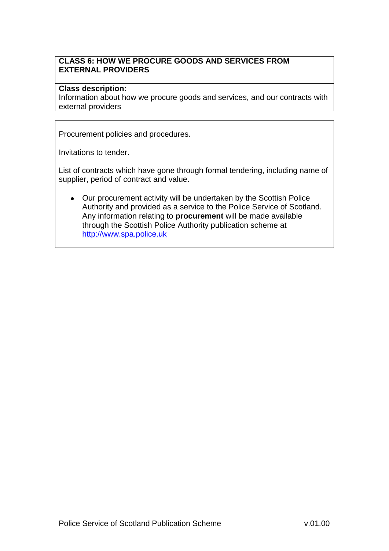### **CLASS 6: HOW WE PROCURE GOODS AND SERVICES FROM EXTERNAL PROVIDERS**

#### **Class description:**

Information about how we procure goods and services, and our contracts with external providers

Procurement policies and procedures.

Invitations to tender.

List of contracts which have gone through formal tendering, including name of supplier, period of contract and value.

Our procurement activity will be undertaken by the Scottish Police Authority and provided as a service to the Police Service of Scotland. Any information relating to **procurement** will be made available through the Scottish Police Authority publication scheme at [http://www.spa.police.uk](http://www.spa.police.uk/)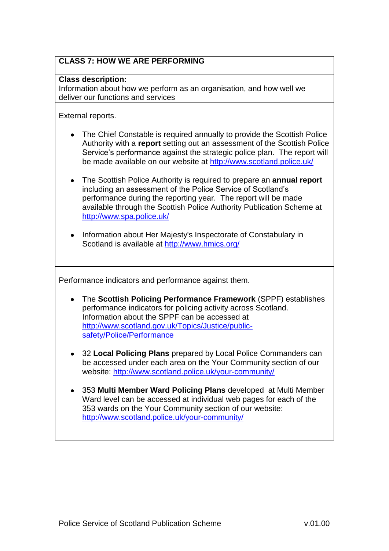# **CLASS 7: HOW WE ARE PERFORMING**

#### **Class description:**

Information about how we perform as an organisation, and how well we deliver our functions and services

External reports.

- The Chief Constable is required annually to provide the Scottish Police Authority with a **report** setting out an assessment of the Scottish Police Service's performance against the strategic police plan. The report will be made available on our website at<http://www.scotland.police.uk/>
- The Scottish Police Authority is required to prepare an **annual report** including an assessment of the Police Service of Scotland's performance during the reporting year. The report will be made available through the Scottish Police Authority Publication Scheme at <http://www.spa.police.uk/>
- Information about Her Majesty's Inspectorate of Constabulary in Scotland is available at<http://www.hmics.org/>

Performance indicators and performance against them.

- The **Scottish Policing Performance Framework** (SPPF) establishes performance indicators for policing activity across Scotland. Information about the SPPF can be accessed at [http://www.scotland.gov.uk/Topics/Justice/public](http://www.scotland.gov.uk/Topics/Justice/public-safety/Police/Performance)[safety/Police/Performance](http://www.scotland.gov.uk/Topics/Justice/public-safety/Police/Performance)
- 32 **Local Policing Plans** prepared by Local Police Commanders can be accessed under each area on the Your Community section of our website:<http://www.scotland.police.uk/your-community/>
- 353 **Multi Member Ward Policing Plans** developed at Multi Member Ward level can be accessed at individual web pages for each of the 353 wards on the Your Community section of our website: <http://www.scotland.police.uk/your-community/>